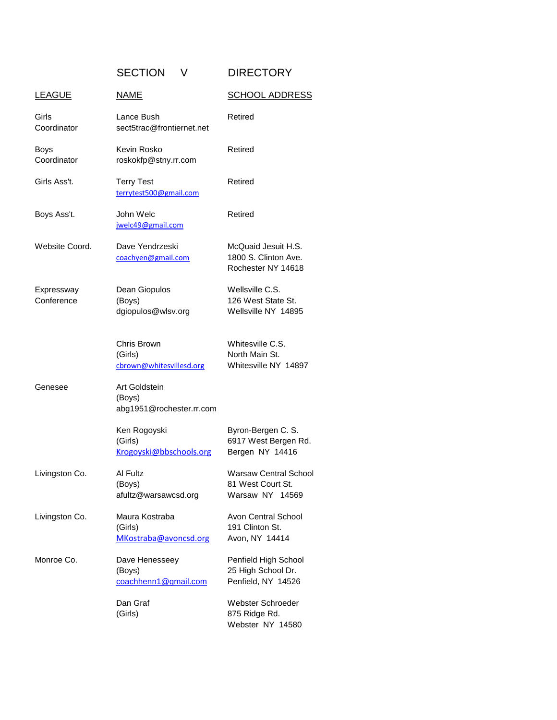SECTION V DIRECTORY

| <b>LEAGUE</b>              | <b>NAME</b>                                         | <b>SCHOOL ADDRESS</b>                                                |
|----------------------------|-----------------------------------------------------|----------------------------------------------------------------------|
| Girls<br>Coordinator       | Lance Bush<br>sect5trac@frontiernet.net             | Retired                                                              |
| <b>Boys</b><br>Coordinator | Kevin Rosko<br>roskokfp@stny.rr.com                 | Retired                                                              |
| Girls Ass't.               | <b>Terry Test</b><br>terrytest500@gmail.com         | Retired                                                              |
| Boys Ass't.                | John Welc<br>jwelc49@gmail.com                      | Retired                                                              |
| Website Coord.             | Dave Yendrzeski<br>coachyen@gmail.com               | McQuaid Jesuit H.S.<br>1800 S. Clinton Ave.<br>Rochester NY 14618    |
| Expressway<br>Conference   | Dean Giopulos<br>(Boys)<br>dgiopulos@wlsv.org       | Wellsville C.S.<br>126 West State St.<br>Wellsville NY 14895         |
|                            | Chris Brown<br>(Girls)<br>cbrown@whitesvillesd.org  | Whitesville C.S.<br>North Main St.<br>Whitesville NY 14897           |
| Genesee                    | Art Goldstein<br>(Boys)<br>abg1951@rochester.rr.com |                                                                      |
|                            | Ken Rogoyski<br>(Girls)<br>Krogoyski@bbschools.org  | Byron-Bergen C. S.<br>6917 West Bergen Rd.<br>Bergen NY 14416        |
| Livingston Co.             | Al Fultz<br>(Boys)<br>afultz@warsawcsd.org          | <b>Warsaw Central School</b><br>81 West Court St.<br>Warsaw NY 14569 |
| Livingston Co.             | Maura Kostraba<br>(Girls)<br>MKostraba@avoncsd.org  | Avon Central School<br>191 Clinton St.<br>Avon, NY 14414             |
| Monroe Co.                 | Dave Henesseey<br>(Boys)<br>coachhenn1@gmail.com    | Penfield High School<br>25 High School Dr.<br>Penfield, NY 14526     |
|                            | Dan Graf<br>(Girls)                                 | Webster Schroeder<br>875 Ridge Rd.<br>Webster NY 14580               |